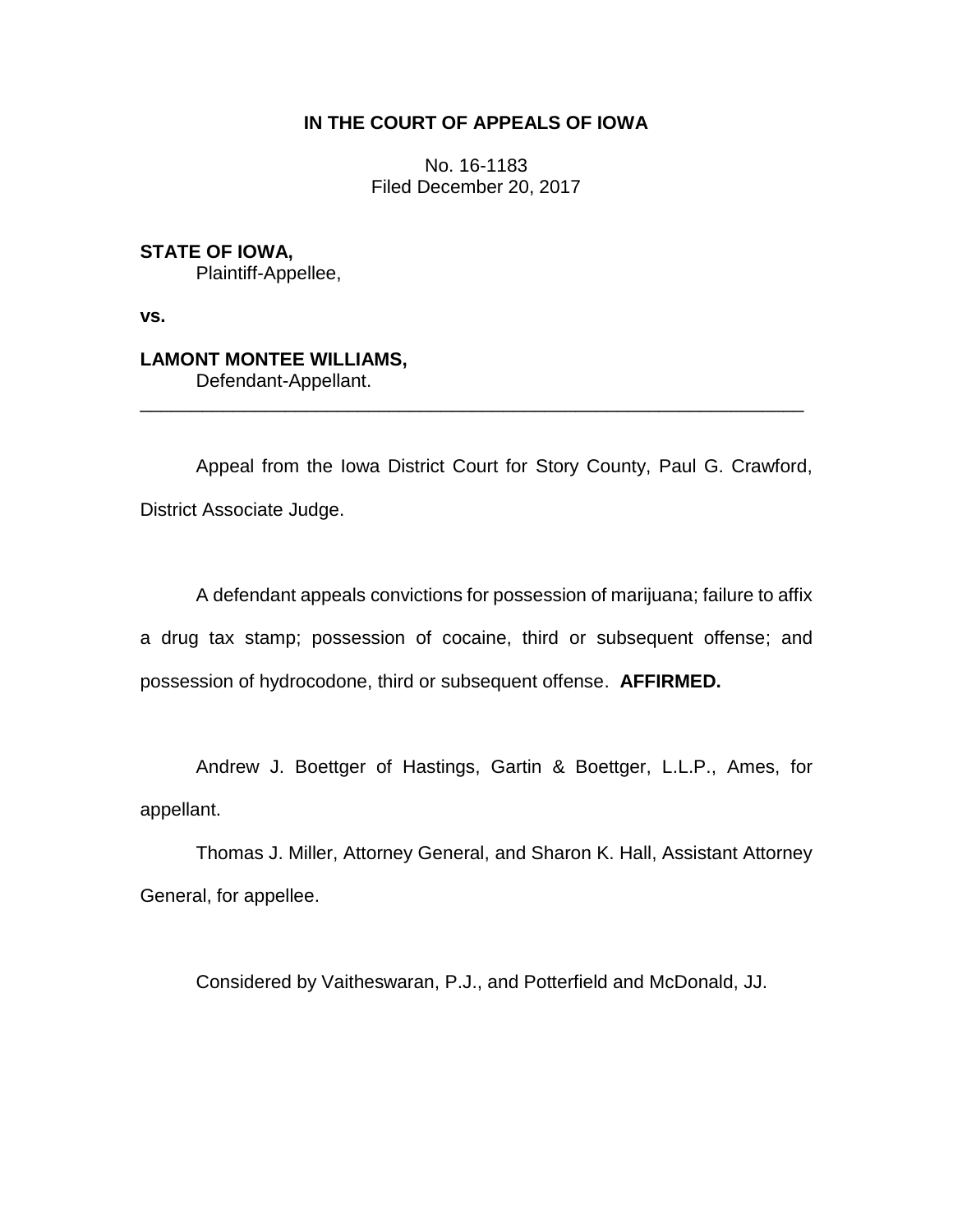## **IN THE COURT OF APPEALS OF IOWA**

No. 16-1183 Filed December 20, 2017

**STATE OF IOWA,** Plaintiff-Appellee,

**vs.**

# **LAMONT MONTEE WILLIAMS,**

Defendant-Appellant.

Appeal from the Iowa District Court for Story County, Paul G. Crawford, District Associate Judge.

\_\_\_\_\_\_\_\_\_\_\_\_\_\_\_\_\_\_\_\_\_\_\_\_\_\_\_\_\_\_\_\_\_\_\_\_\_\_\_\_\_\_\_\_\_\_\_\_\_\_\_\_\_\_\_\_\_\_\_\_\_\_\_\_

A defendant appeals convictions for possession of marijuana; failure to affix a drug tax stamp; possession of cocaine, third or subsequent offense; and possession of hydrocodone, third or subsequent offense. **AFFIRMED.**

Andrew J. Boettger of Hastings, Gartin & Boettger, L.L.P., Ames, for appellant.

Thomas J. Miller, Attorney General, and Sharon K. Hall, Assistant Attorney General, for appellee.

Considered by Vaitheswaran, P.J., and Potterfield and McDonald, JJ.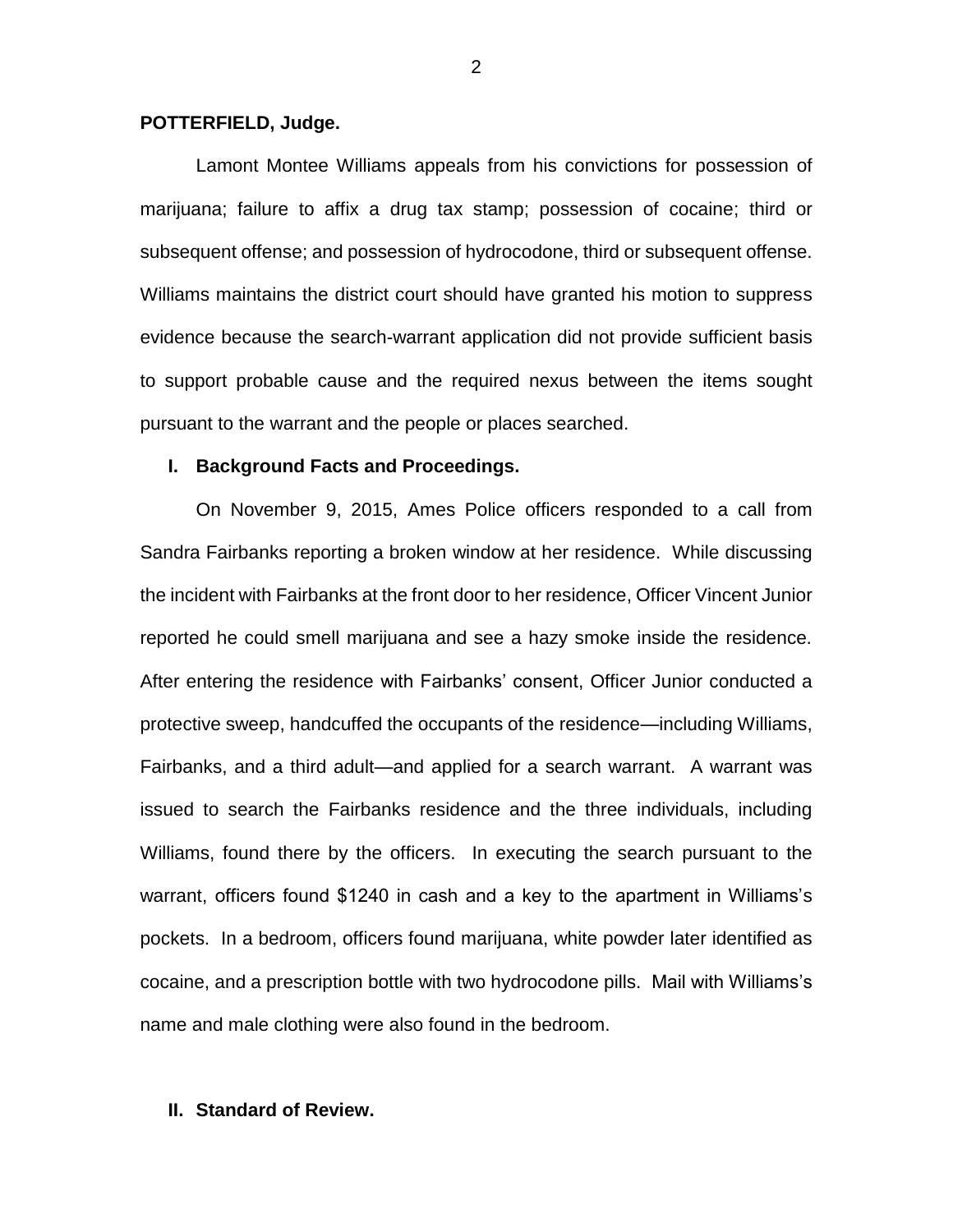#### **POTTERFIELD, Judge.**

Lamont Montee Williams appeals from his convictions for possession of marijuana; failure to affix a drug tax stamp; possession of cocaine; third or subsequent offense; and possession of hydrocodone, third or subsequent offense. Williams maintains the district court should have granted his motion to suppress evidence because the search-warrant application did not provide sufficient basis to support probable cause and the required nexus between the items sought pursuant to the warrant and the people or places searched.

#### **I. Background Facts and Proceedings.**

On November 9, 2015, Ames Police officers responded to a call from Sandra Fairbanks reporting a broken window at her residence. While discussing the incident with Fairbanks at the front door to her residence, Officer Vincent Junior reported he could smell marijuana and see a hazy smoke inside the residence. After entering the residence with Fairbanks' consent, Officer Junior conducted a protective sweep, handcuffed the occupants of the residence—including Williams, Fairbanks, and a third adult—and applied for a search warrant. A warrant was issued to search the Fairbanks residence and the three individuals, including Williams, found there by the officers. In executing the search pursuant to the warrant, officers found \$1240 in cash and a key to the apartment in Williams's pockets. In a bedroom, officers found marijuana, white powder later identified as cocaine, and a prescription bottle with two hydrocodone pills. Mail with Williams's name and male clothing were also found in the bedroom.

#### **II. Standard of Review.**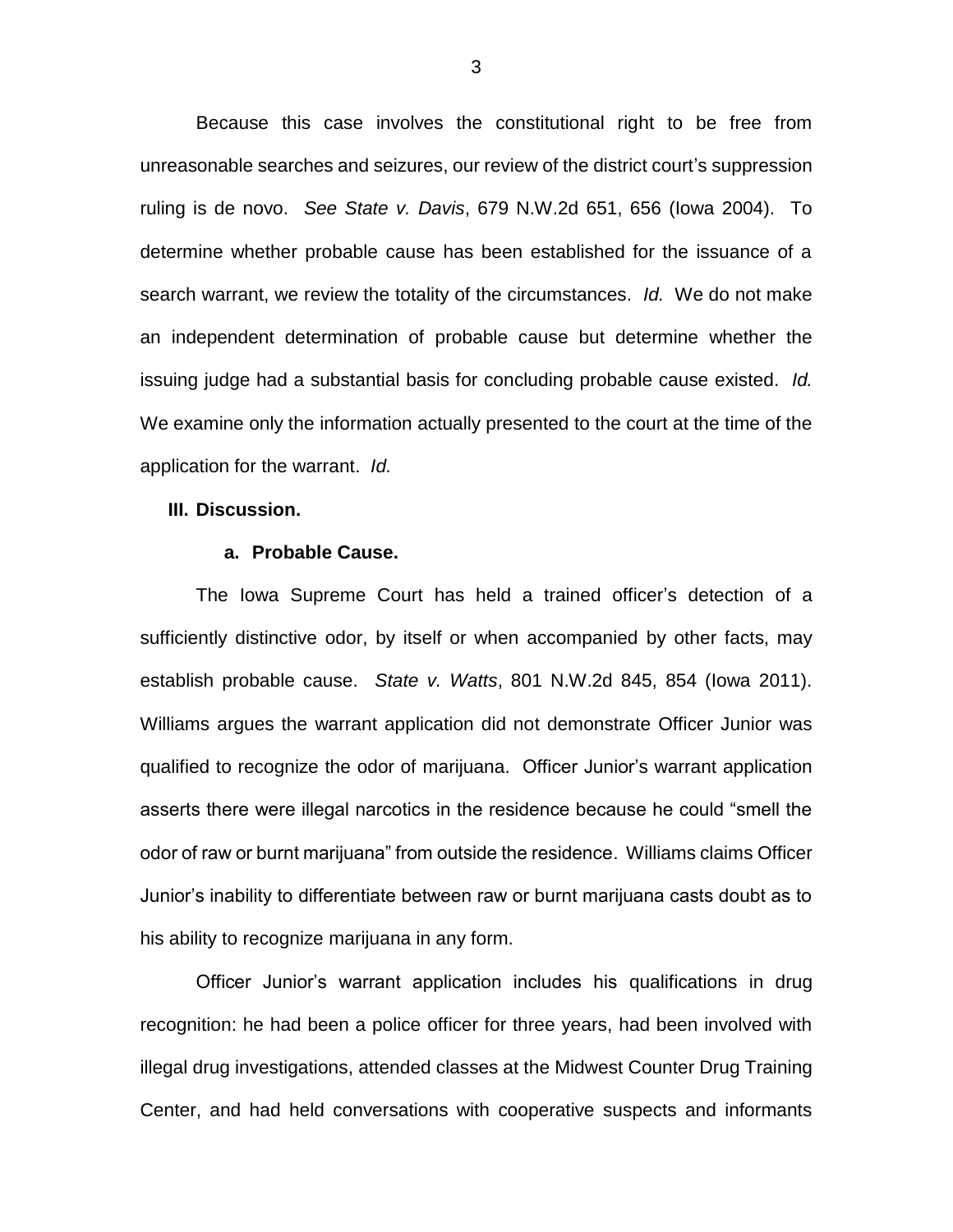Because this case involves the constitutional right to be free from unreasonable searches and seizures, our review of the district court's suppression ruling is de novo. *See State v. Davis*, 679 N.W.2d 651, 656 (Iowa 2004). To determine whether probable cause has been established for the issuance of a search warrant, we review the totality of the circumstances. *Id.* We do not make an independent determination of probable cause but determine whether the issuing judge had a substantial basis for concluding probable cause existed. *Id.* We examine only the information actually presented to the court at the time of the application for the warrant. *Id.*

#### **III. Discussion.**

#### **a. Probable Cause.**

The Iowa Supreme Court has held a trained officer's detection of a sufficiently distinctive odor, by itself or when accompanied by other facts, may establish probable cause. *State v. Watts*, 801 N.W.2d 845, 854 (Iowa 2011). Williams argues the warrant application did not demonstrate Officer Junior was qualified to recognize the odor of marijuana. Officer Junior's warrant application asserts there were illegal narcotics in the residence because he could "smell the odor of raw or burnt marijuana" from outside the residence. Williams claims Officer Junior's inability to differentiate between raw or burnt marijuana casts doubt as to his ability to recognize marijuana in any form.

Officer Junior's warrant application includes his qualifications in drug recognition: he had been a police officer for three years, had been involved with illegal drug investigations, attended classes at the Midwest Counter Drug Training Center, and had held conversations with cooperative suspects and informants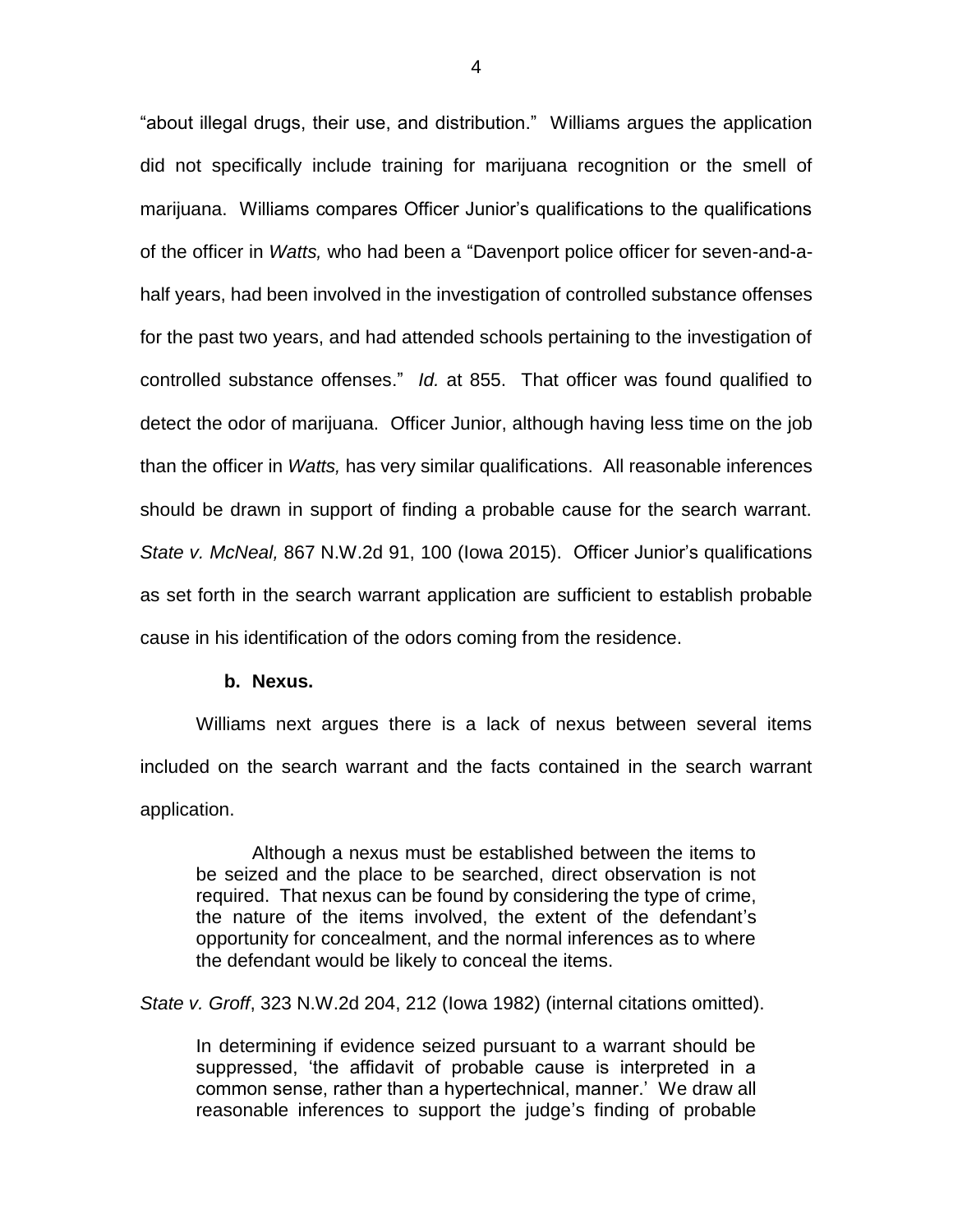"about illegal drugs, their use, and distribution." Williams argues the application did not specifically include training for marijuana recognition or the smell of marijuana. Williams compares Officer Junior's qualifications to the qualifications of the officer in *Watts,* who had been a "Davenport police officer for seven-and-ahalf years, had been involved in the investigation of controlled substance offenses for the past two years, and had attended schools pertaining to the investigation of controlled substance offenses." *Id.* at 855. That officer was found qualified to detect the odor of marijuana. Officer Junior, although having less time on the job than the officer in *Watts,* has very similar qualifications. All reasonable inferences should be drawn in support of finding a probable cause for the search warrant. *State v. McNeal,* 867 N.W.2d 91, 100 (Iowa 2015). Officer Junior's qualifications as set forth in the search warrant application are sufficient to establish probable cause in his identification of the odors coming from the residence.

#### **b. Nexus.**

Williams next argues there is a lack of nexus between several items included on the search warrant and the facts contained in the search warrant application.

Although a nexus must be established between the items to be seized and the place to be searched, direct observation is not required. That nexus can be found by considering the type of crime, the nature of the items involved, the extent of the defendant's opportunity for concealment, and the normal inferences as to where the defendant would be likely to conceal the items.

*State v. Groff*, 323 N.W.2d 204, 212 (Iowa 1982) (internal citations omitted).

In determining if evidence seized pursuant to a warrant should be suppressed, 'the affidavit of probable cause is interpreted in a common sense, rather than a hypertechnical, manner.' We draw all reasonable inferences to support the judge's finding of probable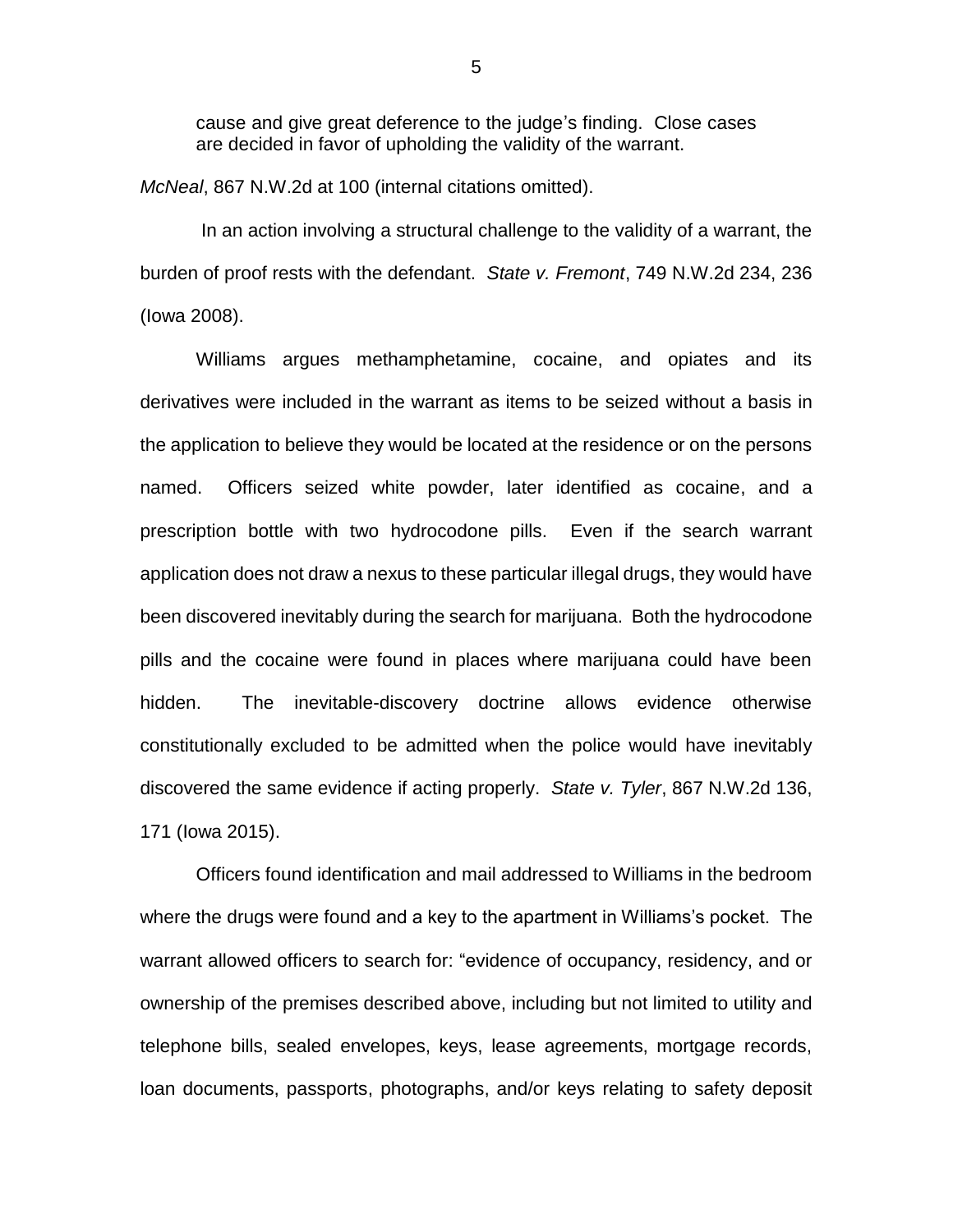cause and give great deference to the judge's finding. Close cases are decided in favor of upholding the validity of the warrant.

*McNeal*, 867 N.W.2d at 100 (internal citations omitted).

In an action involving a structural challenge to the validity of a warrant, the burden of proof rests with the defendant. *State v. Fremont*, 749 N.W.2d 234, 236 (Iowa 2008).

Williams argues methamphetamine, cocaine, and opiates and its derivatives were included in the warrant as items to be seized without a basis in the application to believe they would be located at the residence or on the persons named. Officers seized white powder, later identified as cocaine, and a prescription bottle with two hydrocodone pills. Even if the search warrant application does not draw a nexus to these particular illegal drugs, they would have been discovered inevitably during the search for marijuana. Both the hydrocodone pills and the cocaine were found in places where marijuana could have been hidden. The inevitable-discovery doctrine allows evidence otherwise constitutionally excluded to be admitted when the police would have inevitably discovered the same evidence if acting properly. *State v. Tyler*, 867 N.W.2d 136, 171 (Iowa 2015).

Officers found identification and mail addressed to Williams in the bedroom where the drugs were found and a key to the apartment in Williams's pocket. The warrant allowed officers to search for: "evidence of occupancy, residency, and or ownership of the premises described above, including but not limited to utility and telephone bills, sealed envelopes, keys, lease agreements, mortgage records, loan documents, passports, photographs, and/or keys relating to safety deposit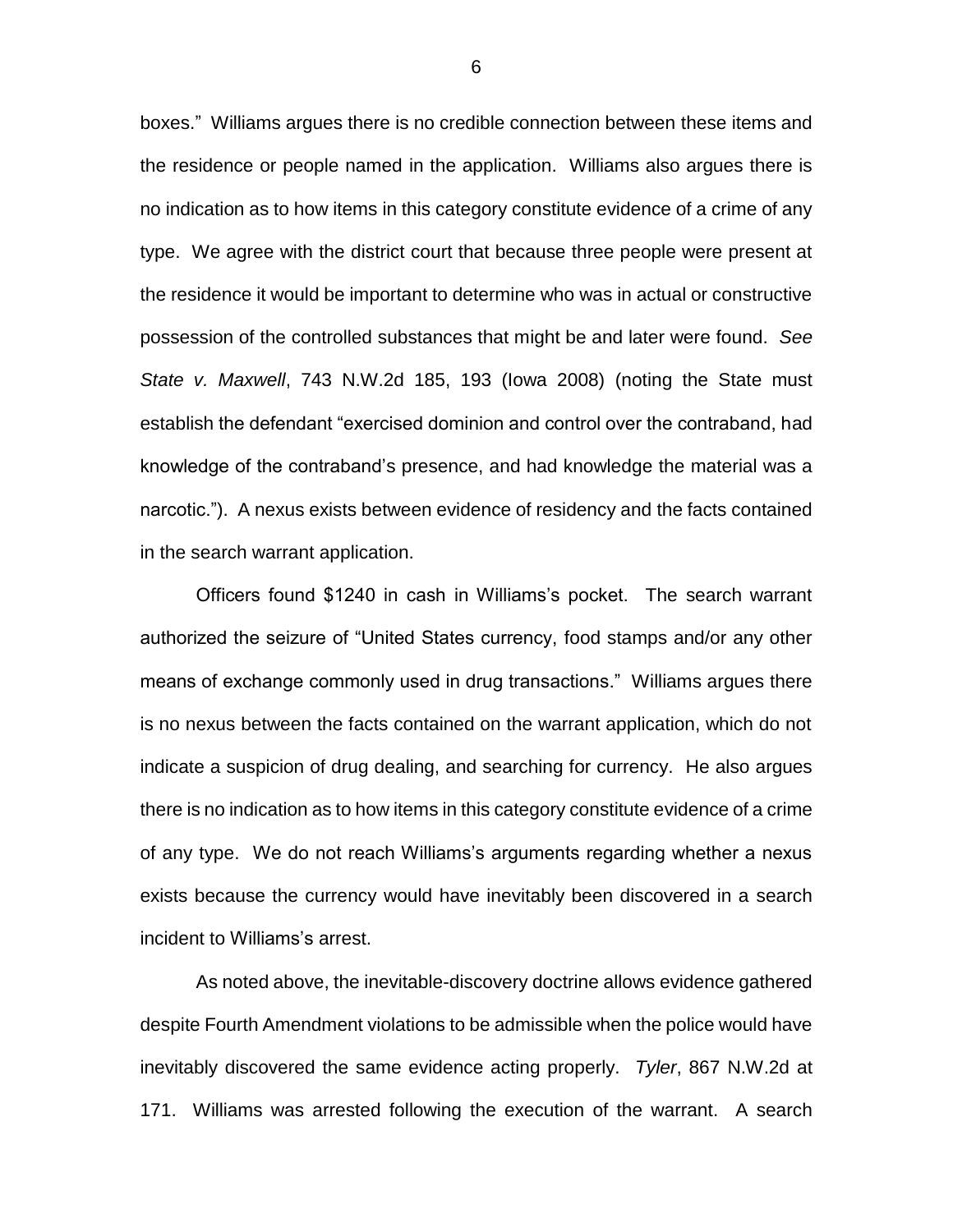boxes." Williams argues there is no credible connection between these items and the residence or people named in the application. Williams also argues there is no indication as to how items in this category constitute evidence of a crime of any type. We agree with the district court that because three people were present at the residence it would be important to determine who was in actual or constructive possession of the controlled substances that might be and later were found. *See State v. Maxwell*, 743 N.W.2d 185, 193 (Iowa 2008) (noting the State must establish the defendant "exercised dominion and control over the contraband, had knowledge of the contraband's presence, and had knowledge the material was a narcotic."). A nexus exists between evidence of residency and the facts contained in the search warrant application.

Officers found \$1240 in cash in Williams's pocket. The search warrant authorized the seizure of "United States currency, food stamps and/or any other means of exchange commonly used in drug transactions." Williams argues there is no nexus between the facts contained on the warrant application, which do not indicate a suspicion of drug dealing, and searching for currency. He also argues there is no indication as to how items in this category constitute evidence of a crime of any type. We do not reach Williams's arguments regarding whether a nexus exists because the currency would have inevitably been discovered in a search incident to Williams's arrest.

As noted above, the inevitable-discovery doctrine allows evidence gathered despite Fourth Amendment violations to be admissible when the police would have inevitably discovered the same evidence acting properly. *Tyler*, 867 N.W.2d at 171. Williams was arrested following the execution of the warrant. A search

6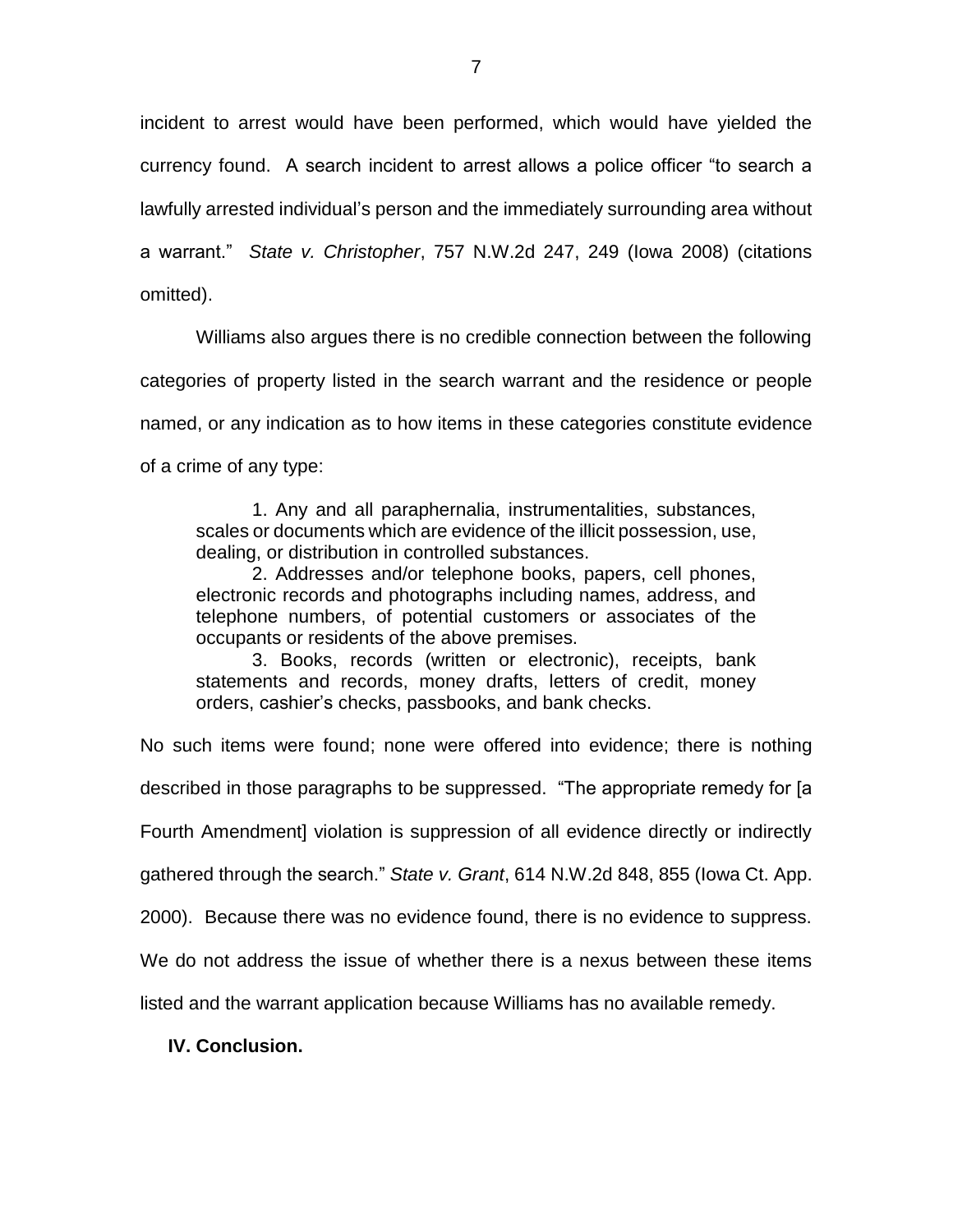incident to arrest would have been performed, which would have yielded the currency found. A search incident to arrest allows a police officer "to search a lawfully arrested individual's person and the immediately surrounding area without a warrant." *State v. Christopher*, 757 N.W.2d 247, 249 (Iowa 2008) (citations omitted).

Williams also argues there is no credible connection between the following categories of property listed in the search warrant and the residence or people named, or any indication as to how items in these categories constitute evidence of a crime of any type:

1. Any and all paraphernalia, instrumentalities, substances, scales or documents which are evidence of the illicit possession, use, dealing, or distribution in controlled substances.

2. Addresses and/or telephone books, papers, cell phones, electronic records and photographs including names, address, and telephone numbers, of potential customers or associates of the occupants or residents of the above premises.

3. Books, records (written or electronic), receipts, bank statements and records, money drafts, letters of credit, money orders, cashier's checks, passbooks, and bank checks.

No such items were found; none were offered into evidence; there is nothing

described in those paragraphs to be suppressed. "The appropriate remedy for [a

Fourth Amendment] violation is suppression of all evidence directly or indirectly

gathered through the search." *State v. Grant*, 614 N.W.2d 848, 855 (Iowa Ct. App.

2000). Because there was no evidence found, there is no evidence to suppress.

We do not address the issue of whether there is a nexus between these items

listed and the warrant application because Williams has no available remedy.

**IV. Conclusion.**